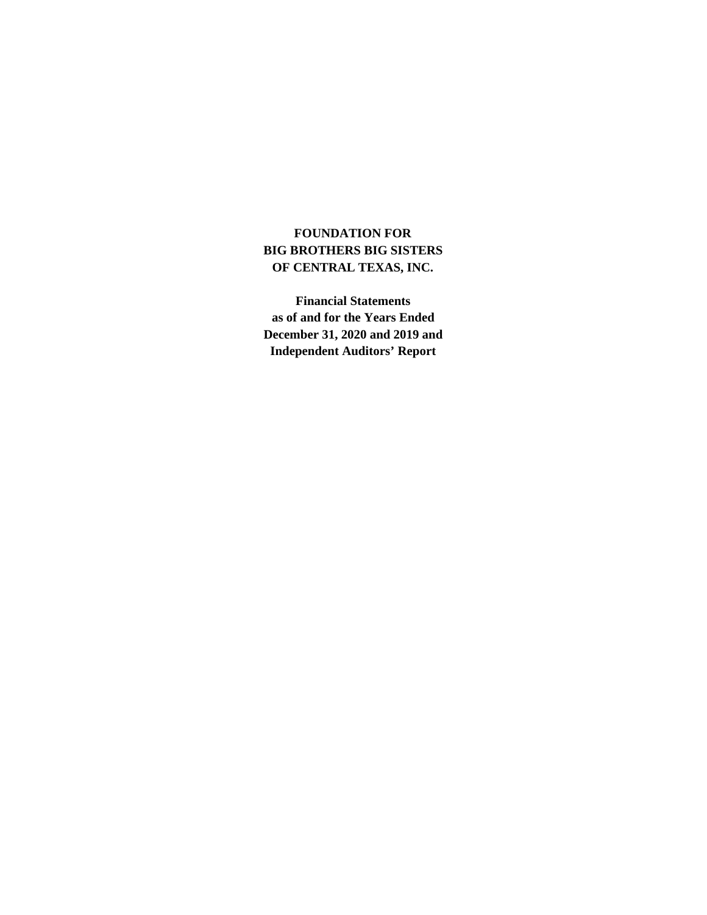## **FOUNDATION FOR BIG BROTHERS BIG SISTERS OF CENTRAL TEXAS, INC.**

**Financial Statements as of and for the Years Ended Independent Auditors' Report December 31, 2020 and 2019 and**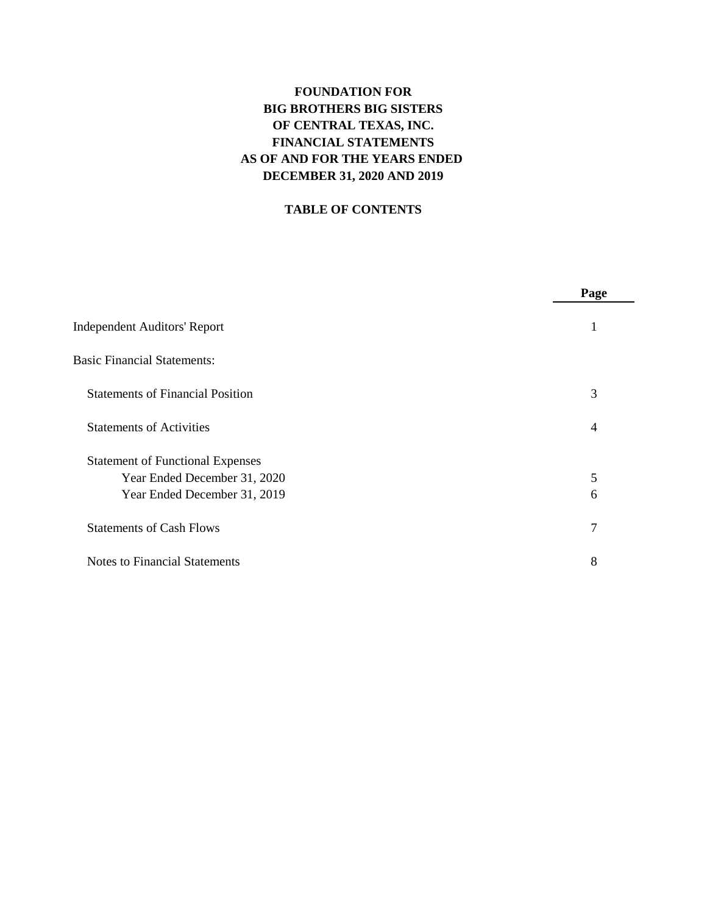# **FOUNDATION FOR AS OF AND FOR THE YEARS ENDED DECEMBER 31, 2020 AND 2019 BIG BROTHERS BIG SISTERS OF CENTRAL TEXAS, INC. FINANCIAL STATEMENTS**

### **TABLE OF CONTENTS**

|                                         | Page           |
|-----------------------------------------|----------------|
| <b>Independent Auditors' Report</b>     | 1              |
| <b>Basic Financial Statements:</b>      |                |
| <b>Statements of Financial Position</b> | 3              |
| <b>Statements of Activities</b>         | $\overline{4}$ |
| <b>Statement of Functional Expenses</b> |                |
| Year Ended December 31, 2020            | 5              |
| Year Ended December 31, 2019            | 6              |
| <b>Statements of Cash Flows</b>         | 7              |
| <b>Notes to Financial Statements</b>    | 8              |
|                                         |                |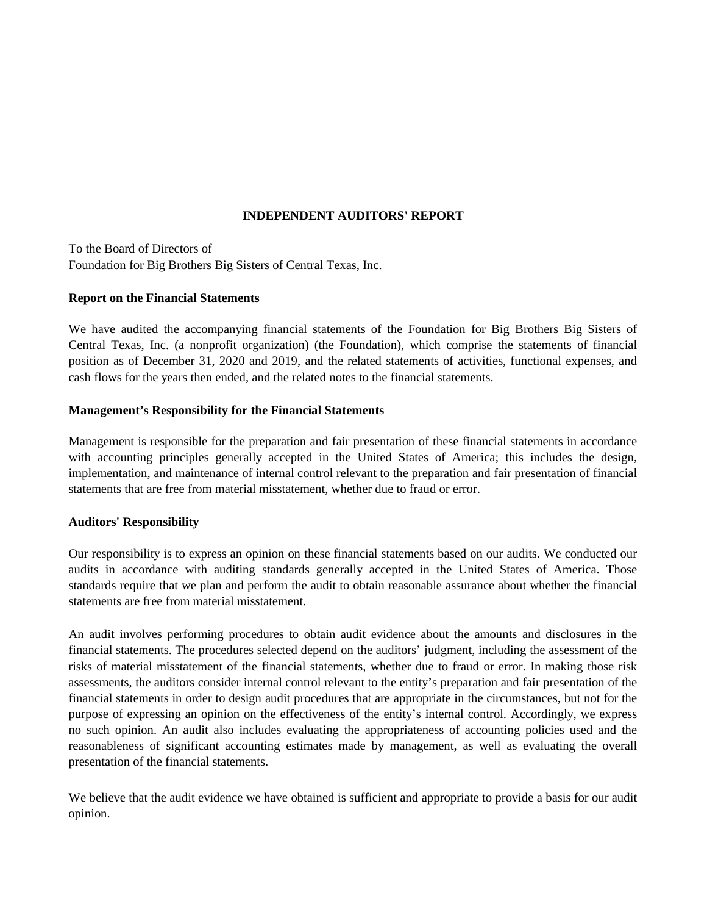#### **INDEPENDENT AUDITORS' REPORT**

To the Board of Directors of Foundation for Big Brothers Big Sisters of Central Texas, Inc.

#### **Report on the Financial Statements**

We have audited the accompanying financial statements of the Foundation for Big Brothers Big Sisters of Central Texas, Inc. (a nonprofit organization) (the Foundation), which comprise the statements of financial position as of December 31, 2020 and 2019, and the related statements of activities, functional expenses, and cash flows for the years then ended, and the related notes to the financial statements.

#### **Management's Responsibility for the Financial Statements**

Management is responsible for the preparation and fair presentation of these financial statements in accordance with accounting principles generally accepted in the United States of America; this includes the design, implementation, and maintenance of internal control relevant to the preparation and fair presentation of financial statements that are free from material misstatement, whether due to fraud or error.

#### **Auditors' Responsibility**

Our responsibility is to express an opinion on these financial statements based on our audits. We conducted our audits in accordance with auditing standards generally accepted in the United States of America. Those standards require that we plan and perform the audit to obtain reasonable assurance about whether the financial statements are free from material misstatement.

An audit involves performing procedures to obtain audit evidence about the amounts and disclosures in the financial statements. The procedures selected depend on the auditors' judgment, including the assessment of the risks of material misstatement of the financial statements, whether due to fraud or error. In making those risk assessments, the auditors consider internal control relevant to the entity's preparation and fair presentation of the financial statements in order to design audit procedures that are appropriate in the circumstances, but not for the purpose of expressing an opinion on the effectiveness of the entity's internal control. Accordingly, we express no such opinion. An audit also includes evaluating the appropriateness of accounting policies used and the reasonableness of significant accounting estimates made by management, as well as evaluating the overall presentation of the financial statements.

We believe that the audit evidence we have obtained is sufficient and appropriate to provide a basis for our audit opinion.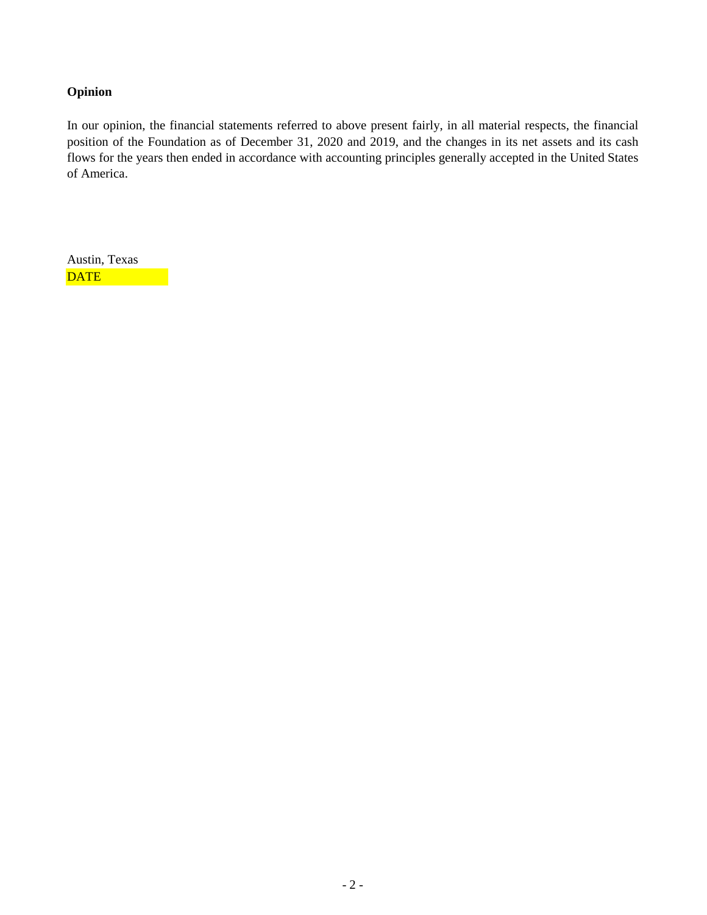### **Opinion**

In our opinion, the financial statements referred to above present fairly, in all material respects, the financial position of the Foundation as of December 31, 2020 and 2019, and the changes in its net assets and its cash flows for the years then ended in accordance with accounting principles generally accepted in the United States of America.

Austin, Texas DATE **DESIGNATION**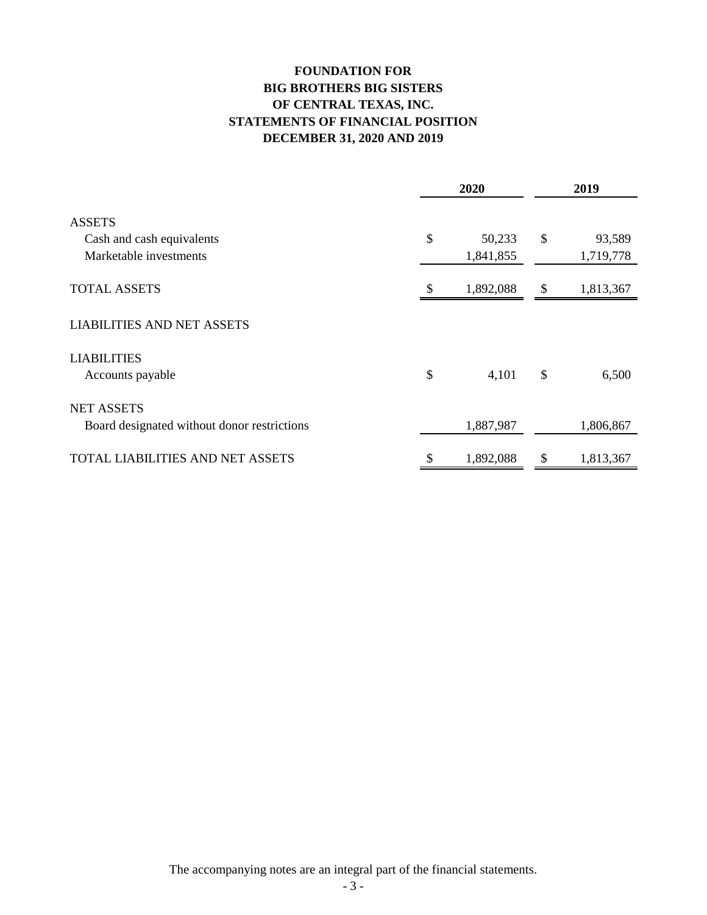# **FOUNDATION FOR STATEMENTS OF FINANCIAL POSITION DECEMBER 31, 2020 AND 2019 BIG BROTHERS BIG SISTERS OF CENTRAL TEXAS, INC.**

|                                                                      | 2020                      | 2019 |                     |  |
|----------------------------------------------------------------------|---------------------------|------|---------------------|--|
| <b>ASSETS</b><br>Cash and cash equivalents<br>Marketable investments | \$<br>50,233<br>1,841,855 | \$   | 93,589<br>1,719,778 |  |
| <b>TOTAL ASSETS</b>                                                  | 1,892,088                 | \$   | 1,813,367           |  |
| <b>LIABILITIES AND NET ASSETS</b>                                    |                           |      |                     |  |
| <b>LIABILITIES</b><br>Accounts payable                               | \$<br>4,101               | \$   | 6,500               |  |
| <b>NET ASSETS</b><br>Board designated without donor restrictions     | 1,887,987                 |      | 1,806,867           |  |
| <b>TOTAL LIABILITIES AND NET ASSETS</b>                              | \$<br>1,892,088           | \$   | 1,813,367           |  |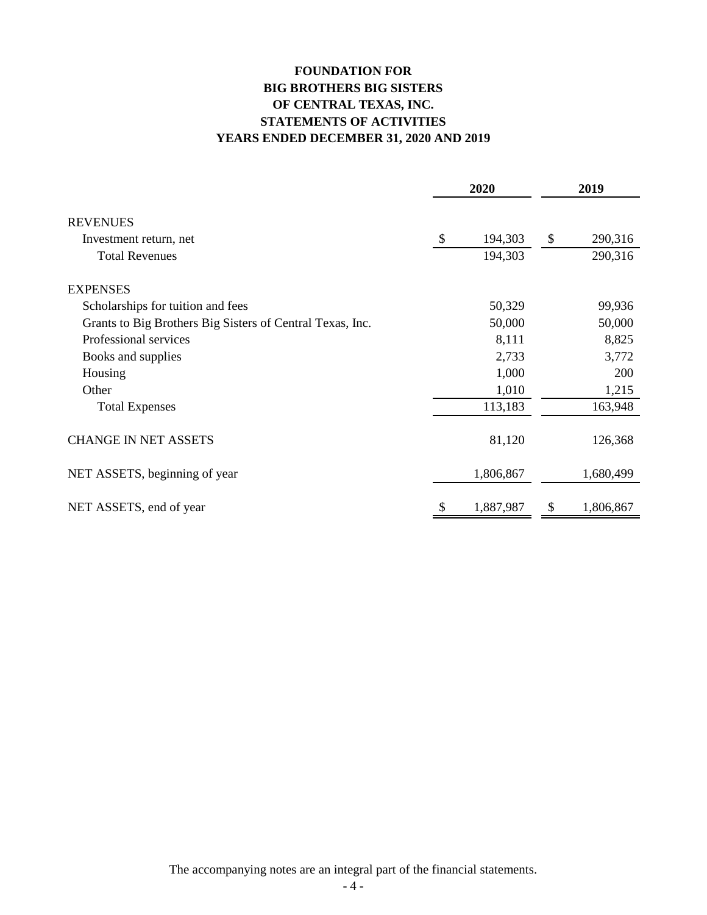# **FOUNDATION FOR STATEMENTS OF ACTIVITIES YEARS ENDED DECEMBER 31, 2020 AND 2019 BIG BROTHERS BIG SISTERS OF CENTRAL TEXAS, INC.**

|                                                           |               | 2020      | 2019 |            |  |
|-----------------------------------------------------------|---------------|-----------|------|------------|--|
| <b>REVENUES</b>                                           |               |           |      |            |  |
| Investment return, net                                    | $\mathcal{S}$ | 194,303   | \$   | 290,316    |  |
| <b>Total Revenues</b>                                     |               | 194,303   |      | 290,316    |  |
| <b>EXPENSES</b>                                           |               |           |      |            |  |
| Scholarships for tuition and fees                         |               | 50,329    |      | 99,936     |  |
| Grants to Big Brothers Big Sisters of Central Texas, Inc. |               | 50,000    |      | 50,000     |  |
| Professional services                                     |               | 8,111     |      | 8,825      |  |
| Books and supplies                                        |               | 2,733     |      | 3,772      |  |
| Housing                                                   |               | 1,000     |      | <b>200</b> |  |
| Other                                                     |               | 1,010     |      | 1,215      |  |
| <b>Total Expenses</b>                                     |               | 113,183   |      | 163,948    |  |
| <b>CHANGE IN NET ASSETS</b>                               |               | 81,120    |      | 126,368    |  |
| NET ASSETS, beginning of year                             |               | 1,806,867 |      | 1,680,499  |  |
| NET ASSETS, end of year                                   | \$            | 1,887,987 | \$   | 1,806,867  |  |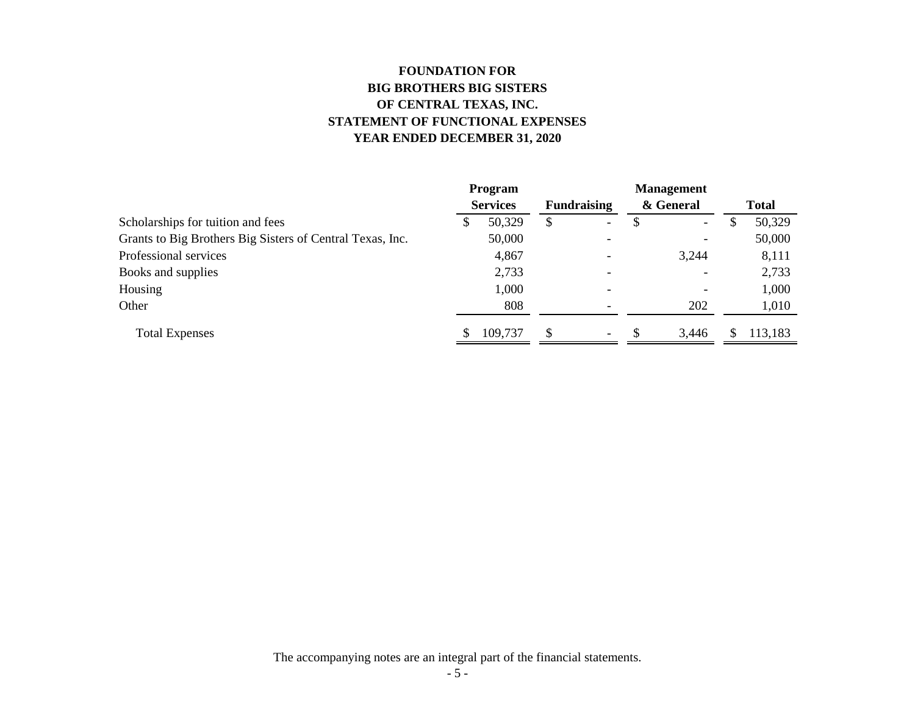# **FOUNDATION FOR BIG BROTHERS BIG SISTERS STATEMENT OF FUNCTIONAL EXPENSES YEAR ENDED DECEMBER 31, 2020 OF CENTRAL TEXAS, INC.**

|                                                           | Program |                                       |     |                          |           | <b>Management</b>        |       |         |
|-----------------------------------------------------------|---------|---------------------------------------|-----|--------------------------|-----------|--------------------------|-------|---------|
|                                                           |         | <b>Services</b><br><b>Fundraising</b> |     |                          | & General |                          | Total |         |
| Scholarships for tuition and fees                         | \$      | 50,329                                | S   | $\overline{\phantom{a}}$ | S         | $\overline{\phantom{0}}$ | ۰D    | 50,329  |
| Grants to Big Brothers Big Sisters of Central Texas, Inc. |         | 50,000                                |     |                          |           |                          |       | 50,000  |
| Professional services                                     |         | 4,867                                 |     |                          |           | 3,244                    |       | 8,111   |
| Books and supplies                                        |         | 2,733                                 |     |                          |           |                          |       | 2,733   |
| Housing                                                   |         | 1,000                                 |     |                          |           |                          |       | 1,000   |
| Other                                                     |         | 808                                   |     |                          |           | 202                      |       | 1,010   |
| <b>Total Expenses</b>                                     |         | 109,737                               | \$. | $\overline{\phantom{0}}$ |           | 3,446                    |       | 113,183 |
|                                                           |         |                                       |     |                          |           |                          |       |         |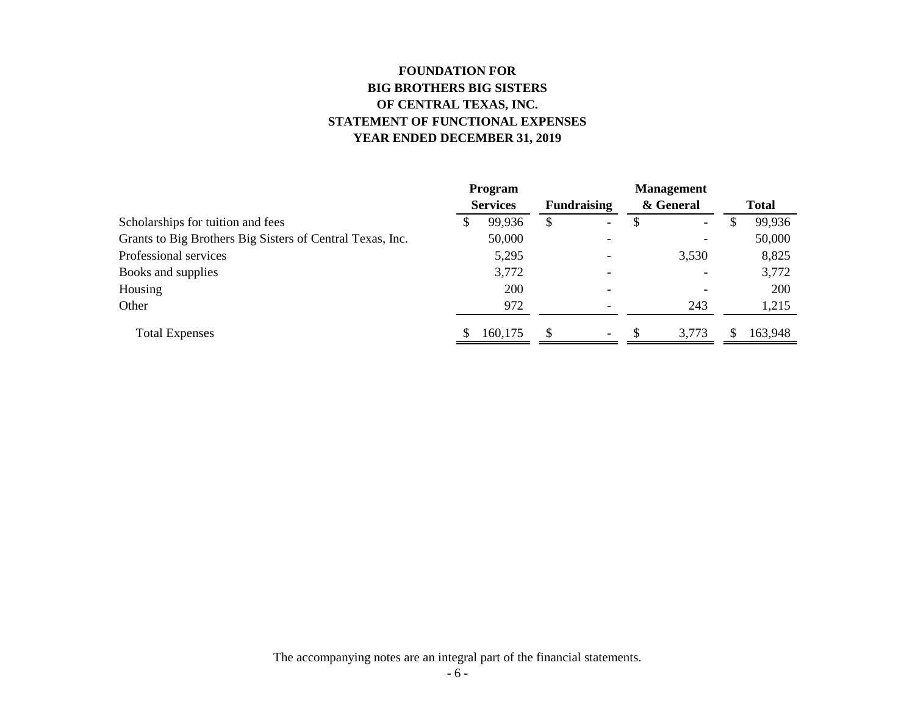# **FOUNDATION FOR BIG BROTHERS BIG SISTERS OF CENTRAL TEXAS, INC. STATEMENT OF FUNCTIONAL EXPENSES YEAR ENDED DECEMBER 31, 2019**

| Program<br><b>Services</b><br><b>Fundraising</b> |         |     |                          |   |                          |                   |         |
|--------------------------------------------------|---------|-----|--------------------------|---|--------------------------|-------------------|---------|
|                                                  |         |     |                          |   | & General                |                   | Total   |
| \$                                               | 99,936  | S   | $\overline{\phantom{a}}$ | S | $\overline{\phantom{0}}$ |                   | 99,936  |
|                                                  | 50,000  |     |                          |   |                          |                   | 50,000  |
|                                                  | 5,295   |     |                          |   | 3,530                    |                   | 8,825   |
|                                                  | 3,772   |     |                          |   |                          |                   | 3,772   |
|                                                  | 200     |     |                          |   |                          |                   | 200     |
|                                                  | 972     |     |                          |   | 243                      |                   | 1,215   |
|                                                  | 160,175 | \$. | $\overline{\phantom{0}}$ |   | 3,773                    |                   | 163,948 |
|                                                  |         |     |                          |   |                          | <b>Management</b> |         |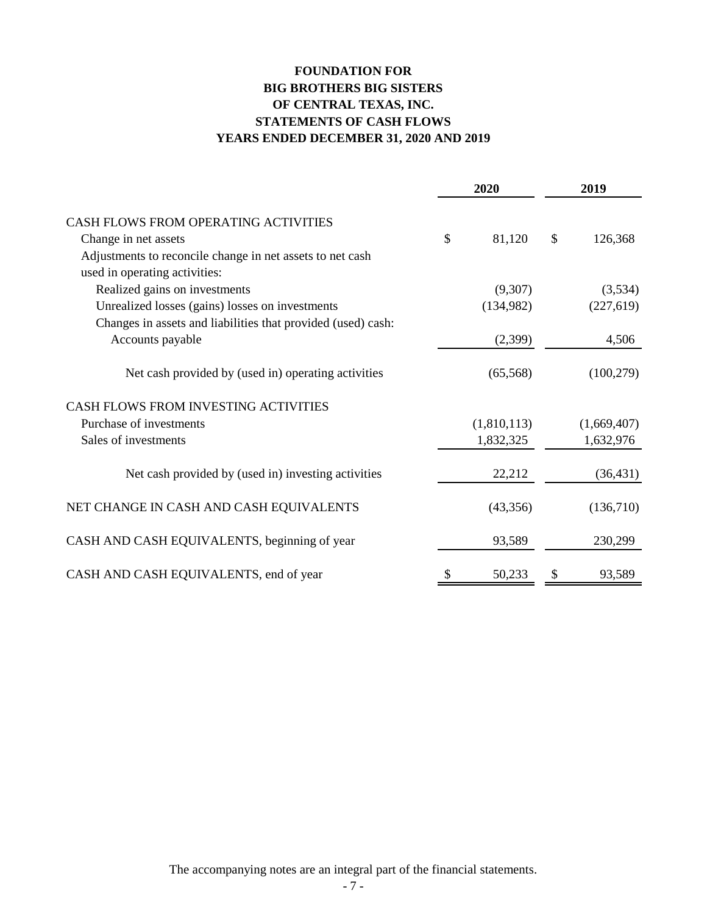# **FOUNDATION FOR STATEMENTS OF CASH FLOWS YEARS ENDED DECEMBER 31, 2020 AND 2019 BIG BROTHERS BIG SISTERS OF CENTRAL TEXAS, INC.**

|                                                                                                                    | 2020 |             | 2019 |             |  |
|--------------------------------------------------------------------------------------------------------------------|------|-------------|------|-------------|--|
| CASH FLOWS FROM OPERATING ACTIVITIES                                                                               |      |             |      |             |  |
| Change in net assets<br>Adjustments to reconcile change in net assets to net cash<br>used in operating activities: | \$   | 81,120      | \$   | 126,368     |  |
| Realized gains on investments                                                                                      |      | (9,307)     |      | (3,534)     |  |
| Unrealized losses (gains) losses on investments<br>Changes in assets and liabilities that provided (used) cash:    |      | (134,982)   |      | (227, 619)  |  |
| Accounts payable                                                                                                   |      | (2,399)     |      | 4,506       |  |
| Net cash provided by (used in) operating activities                                                                |      | (65, 568)   |      | (100, 279)  |  |
| CASH FLOWS FROM INVESTING ACTIVITIES                                                                               |      |             |      |             |  |
| Purchase of investments                                                                                            |      | (1,810,113) |      | (1,669,407) |  |
| Sales of investments                                                                                               |      | 1,832,325   |      | 1,632,976   |  |
| Net cash provided by (used in) investing activities                                                                |      | 22,212      |      | (36, 431)   |  |
| NET CHANGE IN CASH AND CASH EQUIVALENTS                                                                            |      | (43,356)    |      | (136,710)   |  |
| CASH AND CASH EQUIVALENTS, beginning of year                                                                       |      | 93,589      |      | 230,299     |  |
| CASH AND CASH EQUIVALENTS, end of year                                                                             | \$   | 50,233      | S    | 93,589      |  |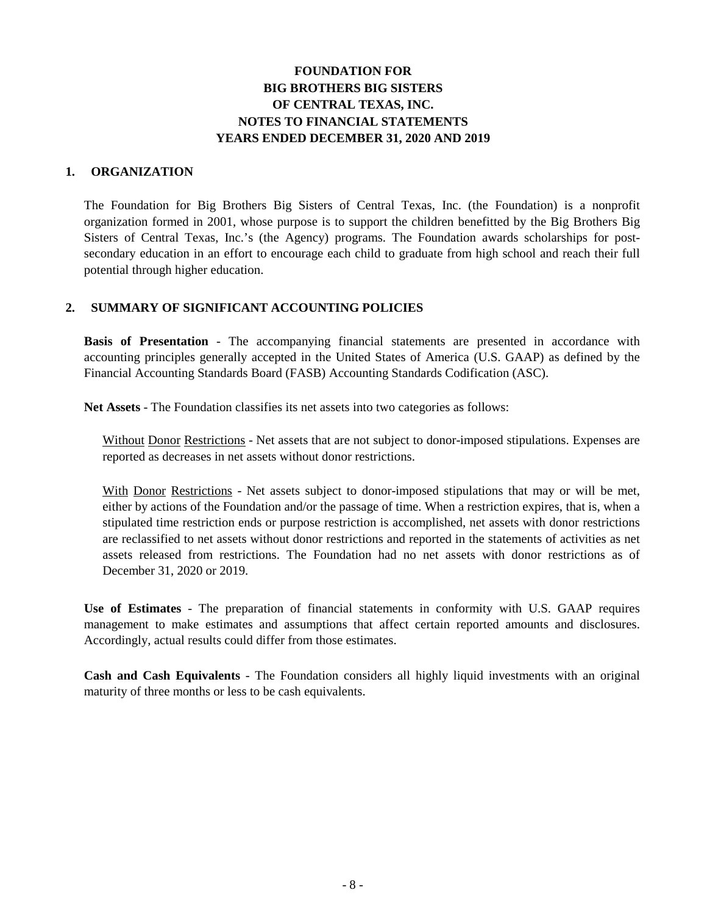### **1. ORGANIZATION**

The Foundation for Big Brothers Big Sisters of Central Texas, Inc. (the Foundation) is a nonprofit organization formed in 2001, whose purpose is to support the children benefitted by the Big Brothers Big Sisters of Central Texas, Inc.'s (the Agency) programs. The Foundation awards scholarships for postsecondary education in an effort to encourage each child to graduate from high school and reach their full potential through higher education.

### **2. SUMMARY OF SIGNIFICANT ACCOUNTING POLICIES**

**Basis of Presentation** - The accompanying financial statements are presented in accordance with accounting principles generally accepted in the United States of America (U.S. GAAP) as defined by the Financial Accounting Standards Board (FASB) Accounting Standards Codification (ASC).

**Net Assets** - The Foundation classifies its net assets into two categories as follows:

Without Donor Restrictions - Net assets that are not subject to donor-imposed stipulations. Expenses are reported as decreases in net assets without donor restrictions.

With Donor Restrictions - Net assets subject to donor-imposed stipulations that may or will be met, either by actions of the Foundation and/or the passage of time. When a restriction expires, that is, when a stipulated time restriction ends or purpose restriction is accomplished, net assets with donor restrictions are reclassified to net assets without donor restrictions and reported in the statements of activities as net assets released from restrictions. The Foundation had no net assets with donor restrictions as of December 31, 2020 or 2019.

**Use of Estimates** - The preparation of financial statements in conformity with U.S. GAAP requires management to make estimates and assumptions that affect certain reported amounts and disclosures. Accordingly, actual results could differ from those estimates.

**Cash and Cash Equivalents** - The Foundation considers all highly liquid investments with an original maturity of three months or less to be cash equivalents.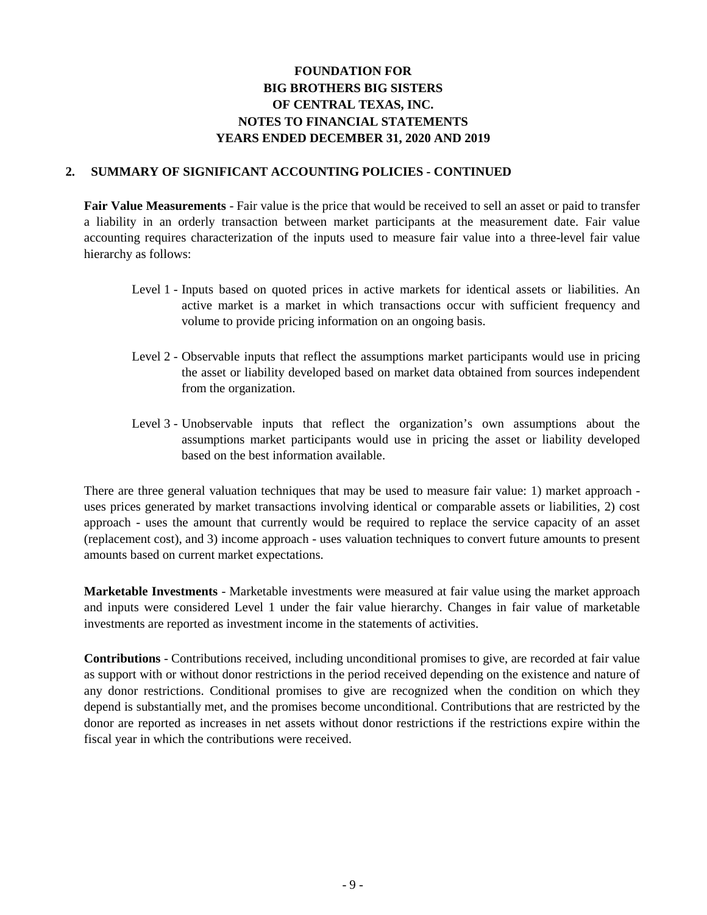### **2. SUMMARY OF SIGNIFICANT ACCOUNTING POLICIES - CONTINUED**

**Fair Value Measurements** - Fair value is the price that would be received to sell an asset or paid to transfer a liability in an orderly transaction between market participants at the measurement date. Fair value accounting requires characterization of the inputs used to measure fair value into a three-level fair value hierarchy as follows:

- Level 1 Inputs based on quoted prices in active markets for identical assets or liabilities. An active market is a market in which transactions occur with sufficient frequency and volume to provide pricing information on an ongoing basis.
- Level 2 Observable inputs that reflect the assumptions market participants would use in pricing the asset or liability developed based on market data obtained from sources independent from the organization.
- Level 3 Unobservable inputs that reflect the organization's own assumptions about the assumptions market participants would use in pricing the asset or liability developed based on the best information available.

There are three general valuation techniques that may be used to measure fair value: 1) market approach uses prices generated by market transactions involving identical or comparable assets or liabilities, 2) cost approach - uses the amount that currently would be required to replace the service capacity of an asset (replacement cost), and 3) income approach - uses valuation techniques to convert future amounts to present amounts based on current market expectations.

**Marketable Investments** - Marketable investments were measured at fair value using the market approach and inputs were considered Level 1 under the fair value hierarchy. Changes in fair value of marketable investments are reported as investment income in the statements of activities.

**Contributions** - Contributions received, including unconditional promises to give, are recorded at fair value as support with or without donor restrictions in the period received depending on the existence and nature of any donor restrictions. Conditional promises to give are recognized when the condition on which they depend is substantially met, and the promises become unconditional. Contributions that are restricted by the donor are reported as increases in net assets without donor restrictions if the restrictions expire within the fiscal year in which the contributions were received.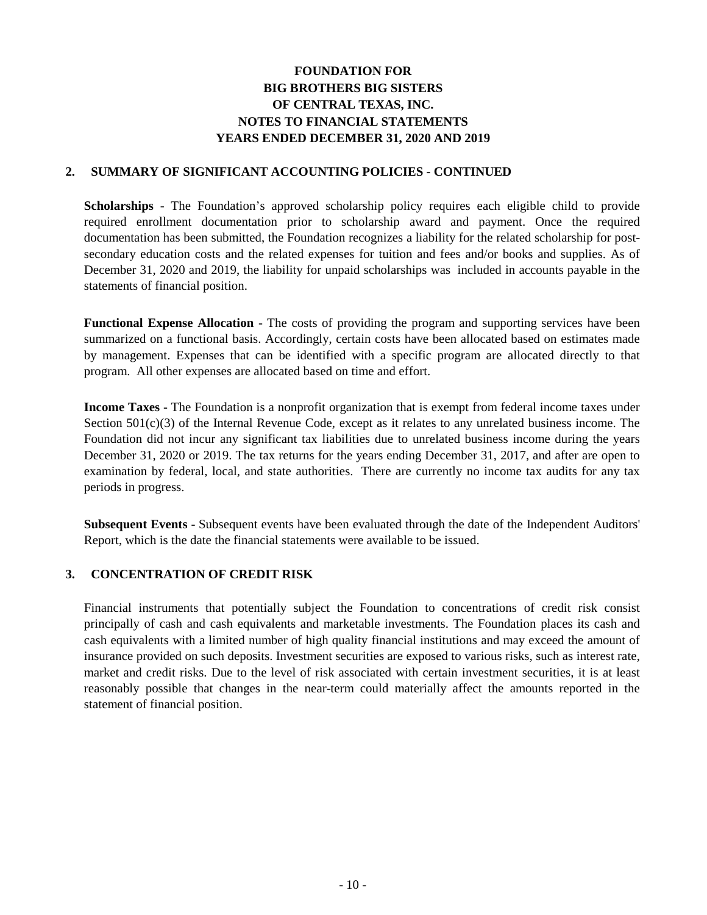#### **2. SUMMARY OF SIGNIFICANT ACCOUNTING POLICIES - CONTINUED**

Scholarships - The Foundation's approved scholarship policy requires each eligible child to provide required enrollment documentation prior to scholarship award and payment. Once the required documentation has been submitted, the Foundation recognizes a liability for the related scholarship for postsecondary education costs and the related expenses for tuition and fees and/or books and supplies. As of December 31, 2020 and 2019, the liability for unpaid scholarships was included in accounts payable in the statements of financial position.

**Functional Expense Allocation** - The costs of providing the program and supporting services have been summarized on a functional basis. Accordingly, certain costs have been allocated based on estimates made by management. Expenses that can be identified with a specific program are allocated directly to that program. All other expenses are allocated based on time and effort.

**Income Taxes** - The Foundation is a nonprofit organization that is exempt from federal income taxes under Section 501(c)(3) of the Internal Revenue Code, except as it relates to any unrelated business income. The Foundation did not incur any significant tax liabilities due to unrelated business income during the years December 31, 2020 or 2019. The tax returns for the years ending December 31, 2017, and after are open to examination by federal, local, and state authorities. There are currently no income tax audits for any tax periods in progress.

**Subsequent Events** - Subsequent events have been evaluated through the date of the Independent Auditors' Report, which is the date the financial statements were available to be issued.

### **3. CONCENTRATION OF CREDIT RISK**

Financial instruments that potentially subject the Foundation to concentrations of credit risk consist principally of cash and cash equivalents and marketable investments. The Foundation places its cash and cash equivalents with a limited number of high quality financial institutions and may exceed the amount of insurance provided on such deposits. Investment securities are exposed to various risks, such as interest rate, market and credit risks. Due to the level of risk associated with certain investment securities, it is at least reasonably possible that changes in the near-term could materially affect the amounts reported in the statement of financial position.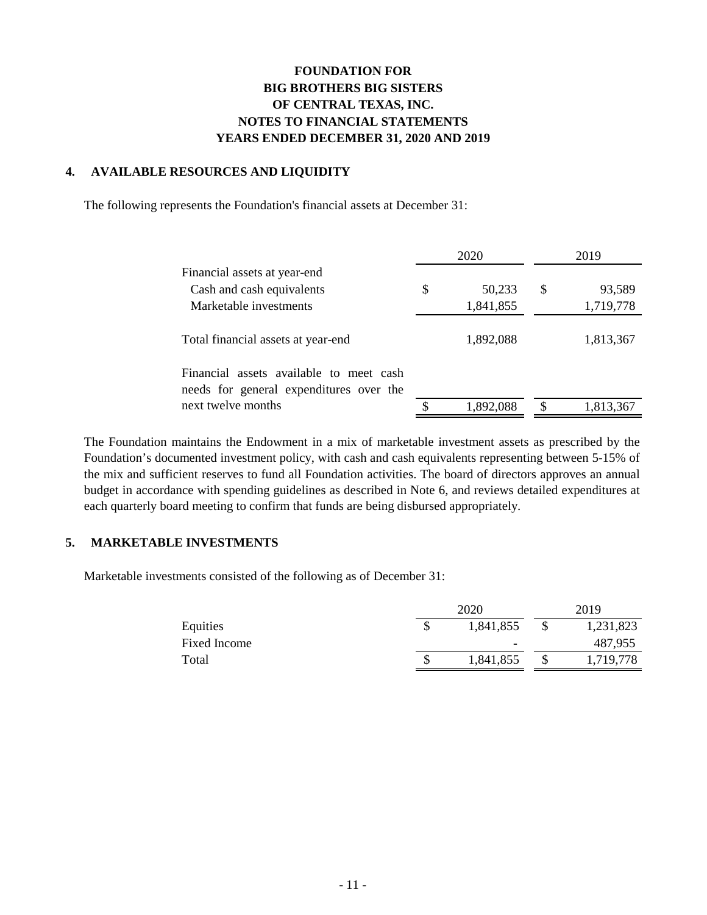### **4. AVAILABLE RESOURCES AND LIQUIDITY**

The following represents the Foundation's financial assets at December 31:

|                                                                                    | 2020 |           | 2019 |           |  |  |
|------------------------------------------------------------------------------------|------|-----------|------|-----------|--|--|
| Financial assets at year-end                                                       |      |           |      |           |  |  |
| Cash and cash equivalents                                                          | \$   | 50,233    | S    | 93,589    |  |  |
| Marketable investments                                                             |      | 1,841,855 |      | 1,719,778 |  |  |
| Total financial assets at year-end                                                 |      | 1,892,088 |      | 1,813,367 |  |  |
| Financial assets available to meet cash<br>needs for general expenditures over the |      |           |      |           |  |  |
| next twelve months                                                                 |      | 1,892,088 |      | 1,813,367 |  |  |

The Foundation maintains the Endowment in a mix of marketable investment assets as prescribed by the Foundation's documented investment policy, with cash and cash equivalents representing between 5-15% of the mix and sufficient reserves to fund all Foundation activities. The board of directors approves an annual budget in accordance with spending guidelines as described in Note 6, and reviews detailed expenditures at each quarterly board meeting to confirm that funds are being disbursed appropriately.

#### **5. MARKETABLE INVESTMENTS**

Marketable investments consisted of the following as of December 31:

|              |    | 2020                     | 2019 |           |  |  |
|--------------|----|--------------------------|------|-----------|--|--|
| Equities     | \$ | 1,841,855                | Ъ.   | 1,231,823 |  |  |
| Fixed Income |    | $\overline{\phantom{0}}$ |      | 487,955   |  |  |
| Total        | S  | 1,841,855                |      | 1,719,778 |  |  |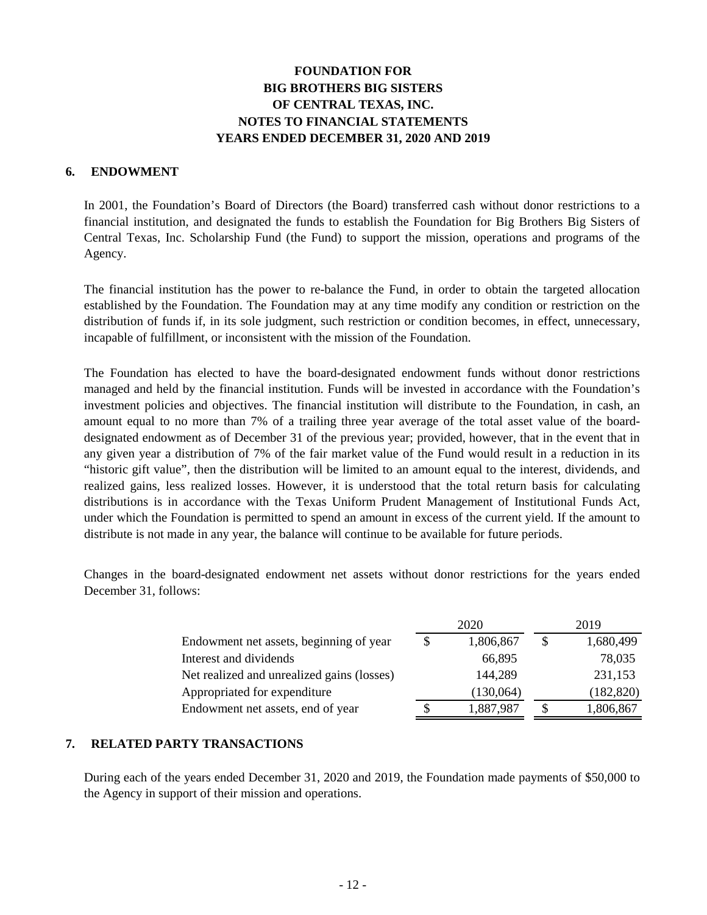#### **6. ENDOWMENT**

In 2001, the Foundation's Board of Directors (the Board) transferred cash without donor restrictions to a financial institution, and designated the funds to establish the Foundation for Big Brothers Big Sisters of Central Texas, Inc. Scholarship Fund (the Fund) to support the mission, operations and programs of the Agency.

The financial institution has the power to re-balance the Fund, in order to obtain the targeted allocation established by the Foundation. The Foundation may at any time modify any condition or restriction on the distribution of funds if, in its sole judgment, such restriction or condition becomes, in effect, unnecessary, incapable of fulfillment, or inconsistent with the mission of the Foundation.

The Foundation has elected to have the board-designated endowment funds without donor restrictions managed and held by the financial institution. Funds will be invested in accordance with the Foundation's investment policies and objectives. The financial institution will distribute to the Foundation, in cash, an amount equal to no more than 7% of a trailing three year average of the total asset value of the boarddesignated endowment as of December 31 of the previous year; provided, however, that in the event that in any given year a distribution of 7% of the fair market value of the Fund would result in a reduction in its "historic gift value", then the distribution will be limited to an amount equal to the interest, dividends, and realized gains, less realized losses. However, it is understood that the total return basis for calculating distributions is in accordance with the Texas Uniform Prudent Management of Institutional Funds Act, under which the Foundation is permitted to spend an amount in excess of the current yield. If the amount to distribute is not made in any year, the balance will continue to be available for future periods.

Changes in the board-designated endowment net assets without donor restrictions for the years ended December 31, follows:

|                                            | 2020 |           | 2019       |  |
|--------------------------------------------|------|-----------|------------|--|
| Endowment net assets, beginning of year    | \$   | 1,806,867 | 1,680,499  |  |
| Interest and dividends                     |      | 66,895    | 78,035     |  |
| Net realized and unrealized gains (losses) |      | 144,289   | 231,153    |  |
| Appropriated for expenditure               |      | (130,064) | (182, 820) |  |
| Endowment net assets, end of year          | \$   | 1,887,987 | 1,806,867  |  |

### **7. RELATED PARTY TRANSACTIONS**

During each of the years ended December 31, 2020 and 2019, the Foundation made payments of \$50,000 to the Agency in support of their mission and operations.